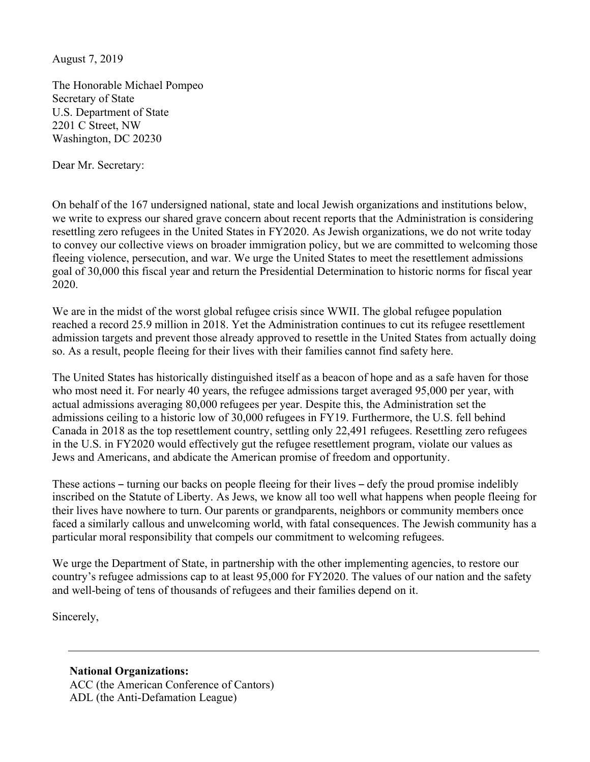August 7, 2019

The Honorable Michael Pompeo Secretary of State U.S. Department of State 2201 C Street, NW Washington, DC 20230

Dear Mr. Secretary:

On behalf of the 167 undersigned national, state and local Jewish organizations and institutions below, we write to express our shared grave concern about recent reports that the Administration is considering resettling zero refugees in the United States in FY2020. As Jewish organizations, we do not write today to convey our collective views on broader immigration policy, but we are committed to welcoming those fleeing violence, persecution, and war. We urge the United States to meet the resettlement admissions goal of 30,000 this fiscal year and return the Presidential Determination to historic norms for fiscal year 2020.

We are in the midst of the worst global refugee crisis since WWII. The global refugee population reached a record 25.9 million in 2018. Yet the Administration continues to cut its refugee resettlement admission targets and prevent those already approved to resettle in the United States from actually doing so. As a result, people fleeing for their lives with their families cannot find safety here.

The United States has historically distinguished itself as a beacon of hope and as a safe haven for those who most need it. For nearly 40 years, the refugee admissions target averaged 95,000 per year, with actual admissions averaging 80,000 refugees per year. Despite this, the Administration set the admissions ceiling to a historic low of 30,000 refugees in FY19. Furthermore, the U.S. fell behind Canada in 2018 as the top resettlement country, settling only 22,491 refugees. Resettling zero refugees in the U.S. in FY2020 would effectively gut the refugee resettlement program, violate our values as Jews and Americans, and abdicate the American promise of freedom and opportunity.

These actions – turning our backs on people fleeing for their lives – defy the proud promise indelibly inscribed on the Statute of Liberty. As Jews, we know all too well what happens when people fleeing for their lives have nowhere to turn. Our parents or grandparents, neighbors or community members once faced a similarly callous and unwelcoming world, with fatal consequences. The Jewish community has a particular moral responsibility that compels our commitment to welcoming refugees.

We urge the Department of State, in partnership with the other implementing agencies, to restore our country's refugee admissions cap to at least 95,000 for FY2020. The values of our nation and the safety and well-being of tens of thousands of refugees and their families depend on it.

Sincerely,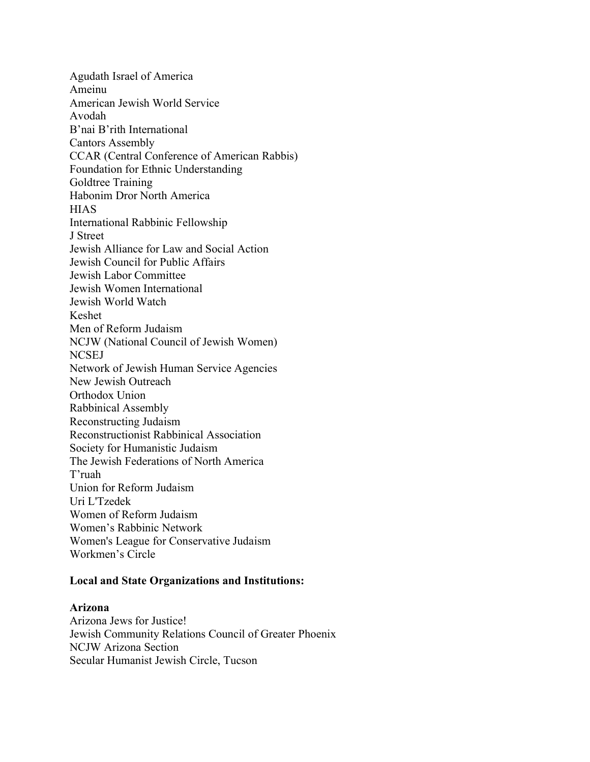Agudath Israel of America Ameinu American Jewish World Service Avodah B'nai B'rith International Cantors Assembly CCAR (Central Conference of American Rabbis) Foundation for Ethnic Understanding Goldtree Training Habonim Dror North America **HIAS** International Rabbinic Fellowship J Street Jewish Alliance for Law and Social Action Jewish Council for Public Affairs Jewish Labor Committee Jewish Women International Jewish World Watch Keshet Men of Reform Judaism NCJW (National Council of Jewish Women) **NCSEJ** Network of Jewish Human Service Agencies New Jewish Outreach Orthodox Union Rabbinical Assembly Reconstructing Judaism Reconstructionist Rabbinical Association Society for Humanistic Judaism The Jewish Federations of North America T'ruah Union for Reform Judaism Uri L'Tzedek Women of Reform Judaism Women's Rabbinic Network Women's League for Conservative Judaism Workmen's Circle

## **Local and State Organizations and Institutions:**

#### **Arizona**

Arizona Jews for Justice! Jewish Community Relations Council of Greater Phoenix NCJW Arizona Section Secular Humanist Jewish Circle, Tucson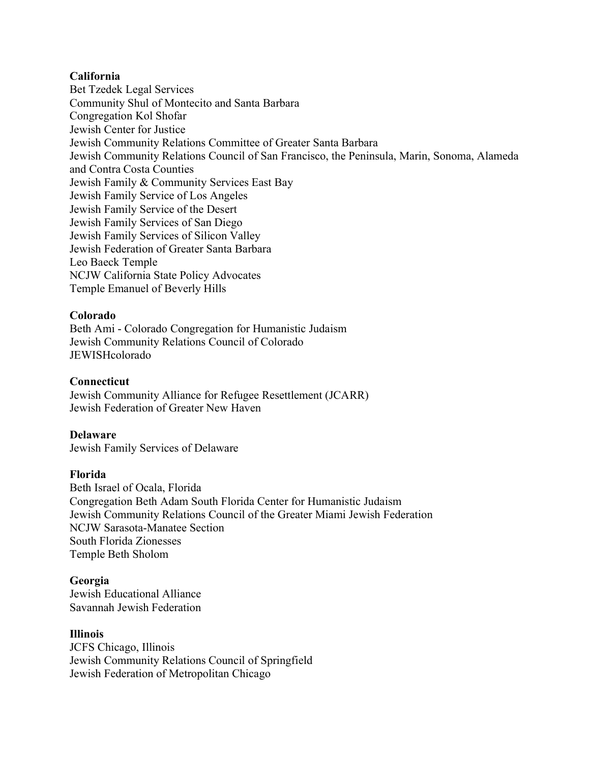# **California**

Bet Tzedek Legal Services Community Shul of Montecito and Santa Barbara Congregation Kol Shofar Jewish Center for Justice Jewish Community Relations Committee of Greater Santa Barbara Jewish Community Relations Council of San Francisco, the Peninsula, Marin, Sonoma, Alameda and Contra Costa Counties Jewish Family & Community Services East Bay Jewish Family Service of Los Angeles Jewish Family Service of the Desert Jewish Family Services of San Diego Jewish Family Services of Silicon Valley Jewish Federation of Greater Santa Barbara Leo Baeck Temple NCJW California State Policy Advocates Temple Emanuel of Beverly Hills

# **Colorado**

Beth Ami - Colorado Congregation for Humanistic Judaism Jewish Community Relations Council of Colorado JEWISHcolorado

## **Connecticut**

Jewish Community Alliance for Refugee Resettlement (JCARR) Jewish Federation of Greater New Haven

## **Delaware**

Jewish Family Services of Delaware

## **Florida**

Beth Israel of Ocala, Florida Congregation Beth Adam South Florida Center for Humanistic Judaism Jewish Community Relations Council of the Greater Miami Jewish Federation NCJW Sarasota-Manatee Section South Florida Zionesses Temple Beth Sholom

## **Georgia**

Jewish Educational Alliance Savannah Jewish Federation

## **Illinois**

JCFS Chicago, Illinois Jewish Community Relations Council of Springfield Jewish Federation of Metropolitan Chicago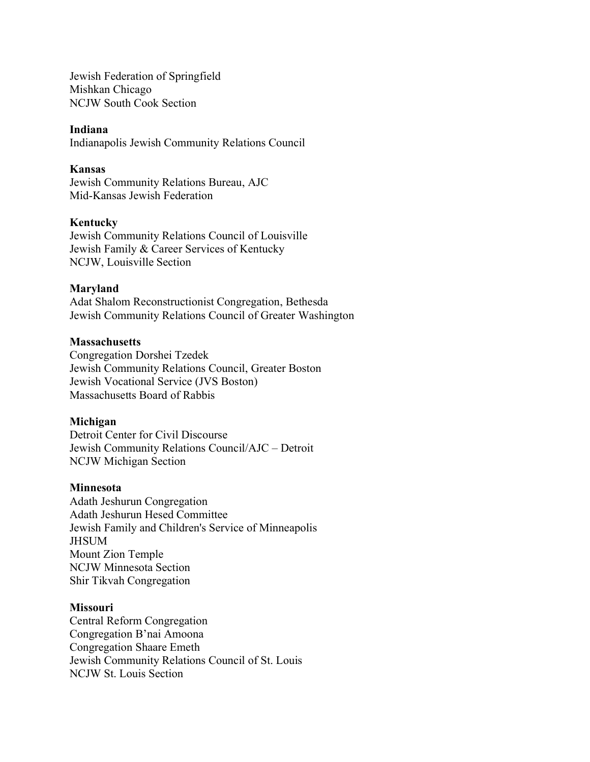Jewish Federation of Springfield Mishkan Chicago NCJW South Cook Section

## **Indiana**

Indianapolis Jewish Community Relations Council

## **Kansas**

Jewish Community Relations Bureau, AJC Mid-Kansas Jewish Federation

## **Kentucky**

Jewish Community Relations Council of Louisville Jewish Family & Career Services of Kentucky NCJW, Louisville Section

## **Maryland**

Adat Shalom Reconstructionist Congregation, Bethesda Jewish Community Relations Council of Greater Washington

## **Massachusetts**

Congregation Dorshei Tzedek Jewish Community Relations Council, Greater Boston Jewish Vocational Service (JVS Boston) Massachusetts Board of Rabbis

#### **Michigan**

Detroit Center for Civil Discourse Jewish Community Relations Council/AJC – Detroit NCJW Michigan Section

## **Minnesota**

Adath Jeshurun Congregation Adath Jeshurun Hesed Committee Jewish Family and Children's Service of Minneapolis JHSUM Mount Zion Temple NCJW Minnesota Section Shir Tikvah Congregation

#### **Missouri**

Central Reform Congregation Congregation B'nai Amoona Congregation Shaare Emeth Jewish Community Relations Council of St. Louis NCJW St. Louis Section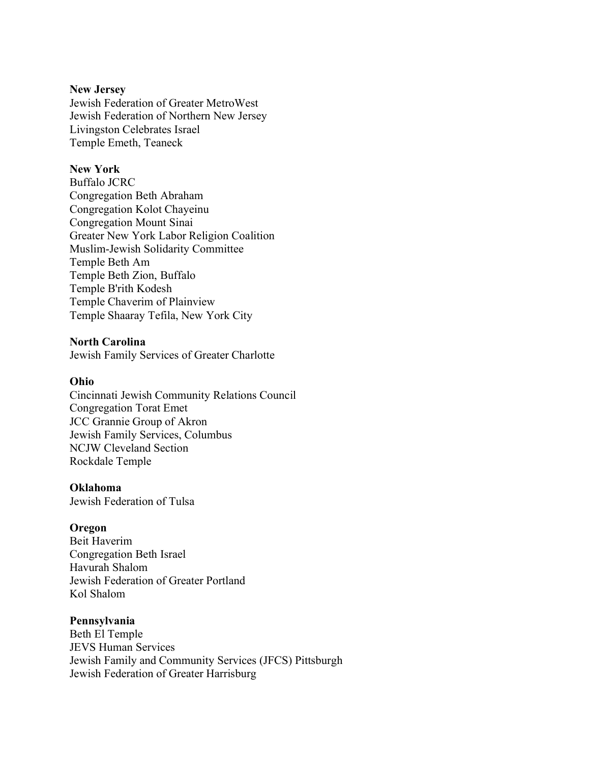## **New Jersey**

Jewish Federation of Greater MetroWest Jewish Federation of Northern New Jersey Livingston Celebrates Israel Temple Emeth, Teaneck

# **New York**

Buffalo JCRC Congregation Beth Abraham Congregation Kolot Chayeinu Congregation Mount Sinai Greater New York Labor Religion Coalition Muslim-Jewish Solidarity Committee Temple Beth Am Temple Beth Zion, Buffalo Temple B'rith Kodesh Temple Chaverim of Plainview Temple Shaaray Tefila, New York City

### **North Carolina**

Jewish Family Services of Greater Charlotte

#### **Ohio**

Cincinnati Jewish Community Relations Council Congregation Torat Emet JCC Grannie Group of Akron Jewish Family Services, Columbus NCJW Cleveland Section Rockdale Temple

#### **Oklahoma**

Jewish Federation of Tulsa

## **Oregon**

Beit Haverim Congregation Beth Israel Havurah Shalom Jewish Federation of Greater Portland Kol Shalom

## **Pennsylvania**

Beth El Temple JEVS Human Services Jewish Family and Community Services (JFCS) Pittsburgh Jewish Federation of Greater Harrisburg